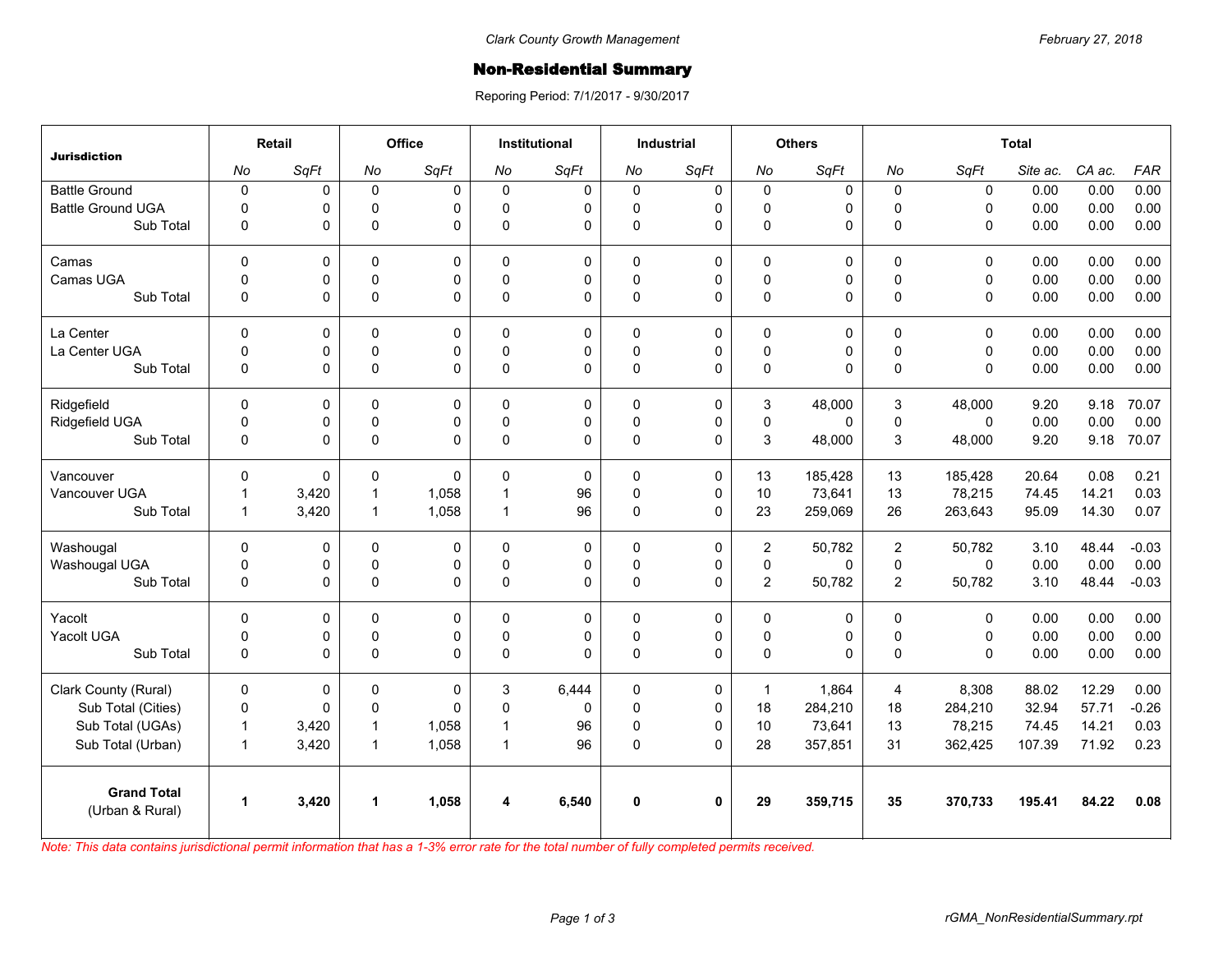## Non-Residential Summary

Reporing Period: 7/1/2017 - 9/30/2017

| <b>Jurisdiction</b>                   | Retail               |       | Office         |              | <b>Institutional</b> |             | <b>Industrial</b> |              | <b>Others</b>  |             | <b>Total</b>   |              |          |        |            |
|---------------------------------------|----------------------|-------|----------------|--------------|----------------------|-------------|-------------------|--------------|----------------|-------------|----------------|--------------|----------|--------|------------|
|                                       | No                   | SqFt  | No             | SqFt         | No                   | SqFt        | No                | SqFt         | No             | SqFt        | No             | SqFt         | Site ac. | CA ac. | <b>FAR</b> |
| <b>Battle Ground</b>                  | $\pmb{0}$            | 0     | $\mathbf 0$    | $\Omega$     | 0                    | $\mathbf 0$ | $\mathbf 0$       | 0            | $\mathbf 0$    | 0           | $\mathbf 0$    | $\mathbf 0$  | 0.00     | 0.00   | 0.00       |
| <b>Battle Ground UGA</b>              | $\mathbf 0$          | 0     | $\mathbf 0$    | $\Omega$     | $\Omega$             | 0           | $\Omega$          | 0            | $\mathbf 0$    | 0           | $\Omega$       | $\mathbf{0}$ | 0.00     | 0.00   | 0.00       |
| Sub Total                             | 0                    | 0     | $\mathbf 0$    | $\Omega$     | $\mathbf{0}$         | $\Omega$    | $\pmb{0}$         | $\Omega$     | $\pmb{0}$      | 0           | $\mathbf{0}$   | $\mathbf{0}$ | 0.00     | 0.00   | 0.00       |
| Camas                                 | $\Omega$             | 0     | $\Omega$       | $\Omega$     | $\Omega$             | 0           | $\Omega$          | $\mathbf 0$  | $\Omega$       | 0           | $\Omega$       | $\mathbf{0}$ | 0.00     | 0.00   | 0.00       |
| Camas UGA                             | 0                    | 0     | $\pmb{0}$      | 0            | $\Omega$             | 0           | $\pmb{0}$         | 0            | $\pmb{0}$      | 0           | $\mathbf 0$    | $\mathbf 0$  | 0.00     | 0.00   | 0.00       |
| Sub Total                             | $\mathbf 0$          | 0     | $\pmb{0}$      | $\Omega$     | $\Omega$             | $\Omega$    | $\Omega$          | $\Omega$     | $\pmb{0}$      | 0           | $\Omega$       | $\mathbf{0}$ | 0.00     | 0.00   | 0.00       |
| La Center                             | $\mathbf 0$          | 0     | $\mathbf 0$    | 0            | $\Omega$             | 0           | $\mathbf 0$       | 0            | $\pmb{0}$      | 0           | $\mathbf 0$    | $\mathbf 0$  | 0.00     | 0.00   | 0.00       |
| La Center UGA                         | 0                    | 0     | $\mathbf 0$    | 0            | $\Omega$             | 0           | $\mathbf 0$       | $\mathbf 0$  | $\mathbf 0$    | 0           | $\pmb{0}$      | $\mathbf 0$  | 0.00     | 0.00   | 0.00       |
| Sub Total                             | $\mathbf 0$          | 0     | $\pmb{0}$      | $\Omega$     | $\Omega$             | 0           | $\pmb{0}$         | $\Omega$     | $\pmb{0}$      | 0           | $\mathbf{0}$   | $\mathbf{0}$ | 0.00     | 0.00   | 0.00       |
| Ridgefield                            | $\Omega$             | 0     | 0              | $\Omega$     | 0                    | 0           | $\Omega$          | 0            | 3              | 48,000      | 3              | 48.000       | 9.20     | 9.18   | 70.07      |
| Ridgefield UGA                        | 0                    | 0     | $\mathsf 0$    | 0            | $\mathbf 0$          | 0           | $\mathsf 0$       | $\mathsf 0$  | $\mathsf 0$    | 0           | $\pmb{0}$      | $\mathbf 0$  | 0.00     | 0.00   | 0.00       |
| Sub Total                             | $\mathbf 0$          | 0     | $\Omega$       | $\Omega$     | $\mathbf{0}$         | 0           | $\pmb{0}$         | $\Omega$     | 3              | 48,000      | 3              | 48,000       | 9.20     | 9.18   | 70.07      |
| Vancouver                             | $\mathbf 0$          | 0     | $\mathbf 0$    | $\mathbf{0}$ | $\Omega$             | $\Omega$    | $\Omega$          | $\mathbf 0$  | 13             | 185.428     | 13             | 185,428      | 20.64    | 0.08   | 0.21       |
| Vancouver UGA                         | $\mathbf{1}$         | 3,420 | $\mathbf{1}$   | 1,058        | 1                    | 96          | $\mathbf 0$       | $\mathbf 0$  | 10             | 73,641      | 13             | 78,215       | 74.45    | 14.21  | 0.03       |
| Sub Total                             | $\mathbf{1}$         | 3,420 | $\overline{1}$ | 1,058        | $\mathbf{1}$         | 96          | $\pmb{0}$         | $\mathbf 0$  | 23             | 259,069     | 26             | 263,643      | 95.09    | 14.30  | 0.07       |
| Washougal                             | $\mathbf 0$          | 0     | 0              | 0            | 0                    | 0           | 0                 | $\mathbf 0$  | $\overline{2}$ | 50,782      | $\overline{2}$ | 50,782       | 3.10     | 48.44  | $-0.03$    |
| Washougal UGA                         | 0                    | 0     | $\mathbf 0$    | $\Omega$     | $\mathbf{0}$         | 0           | $\mathbf 0$       | 0            | $\pmb{0}$      | $\mathbf 0$ | $\mathbf 0$    | $\mathbf{0}$ | 0.00     | 0.00   | 0.00       |
| Sub Total                             | 0                    | 0     | $\pmb{0}$      | $\Omega$     | 0                    | $\Omega$    | $\pmb{0}$         | 0            | $\overline{c}$ | 50,782      | $\overline{2}$ | 50,782       | 3.10     | 48.44  | $-0.03$    |
| Yacolt                                | $\Omega$             | 0     | $\mathbf 0$    | $\Omega$     | $\Omega$             | 0           | $\Omega$          | 0            | $\mathbf 0$    | 0           | $\Omega$       | $\mathbf{0}$ | 0.00     | 0.00   | 0.00       |
| Yacolt UGA                            | 0                    | 0     | 0              | 0            | 0                    | 0           | 0                 | 0            | $\mathsf 0$    | 0           | $\pmb{0}$      | $\mathsf 0$  | 0.00     | 0.00   | 0.00       |
| Sub Total                             | $\mathbf 0$          | 0     | $\Omega$       | $\Omega$     | $\Omega$             | $\Omega$    | $\Omega$          | $\mathbf{0}$ | $\pmb{0}$      | 0           | $\mathbf{0}$   | $\Omega$     | 0.00     | 0.00   | 0.00       |
| Clark County (Rural)                  | $\mathbf 0$          | 0     | 0              | 0            | 3                    | 6,444       | $\mathbf 0$       | 0            | $\mathbf{1}$   | 1,864       | $\overline{4}$ | 8,308        | 88.02    | 12.29  | 0.00       |
| Sub Total (Cities)                    | $\pmb{0}$            | 0     | $\mathbf 0$    | $\Omega$     | $\Omega$             | 0           | $\pmb{0}$         | 0            | 18             | 284,210     | 18             | 284,210      | 32.94    | 57.71  | $-0.26$    |
| Sub Total (UGAs)                      | $\mathbf{1}$         | 3,420 | $\overline{1}$ | 1,058        | $\mathbf 1$          | 96          | 0                 | $\mathbf 0$  | 10             | 73,641      | 13             | 78,215       | 74.45    | 14.21  | 0.03       |
| Sub Total (Urban)                     | $\mathbf{1}$         | 3,420 | $\overline{1}$ | 1,058        | $\mathbf{1}$         | 96          | $\pmb{0}$         | $\Omega$     | 28             | 357,851     | 31             | 362,425      | 107.39   | 71.92  | 0.23       |
| <b>Grand Total</b><br>(Urban & Rural) | $\blacktriangleleft$ | 3,420 | $\mathbf{1}$   | 1,058        | 4                    | 6,540       | $\mathbf{0}$      | $\bf{0}$     | 29             | 359,715     | 35             | 370,733      | 195.41   | 84.22  | 0.08       |
|                                       |                      |       |                |              |                      |             |                   |              |                |             |                |              |          |        |            |

*Note: This data contains jurisdictional permit information that has a 1-3% error rate for the total number of fully completed permits received.*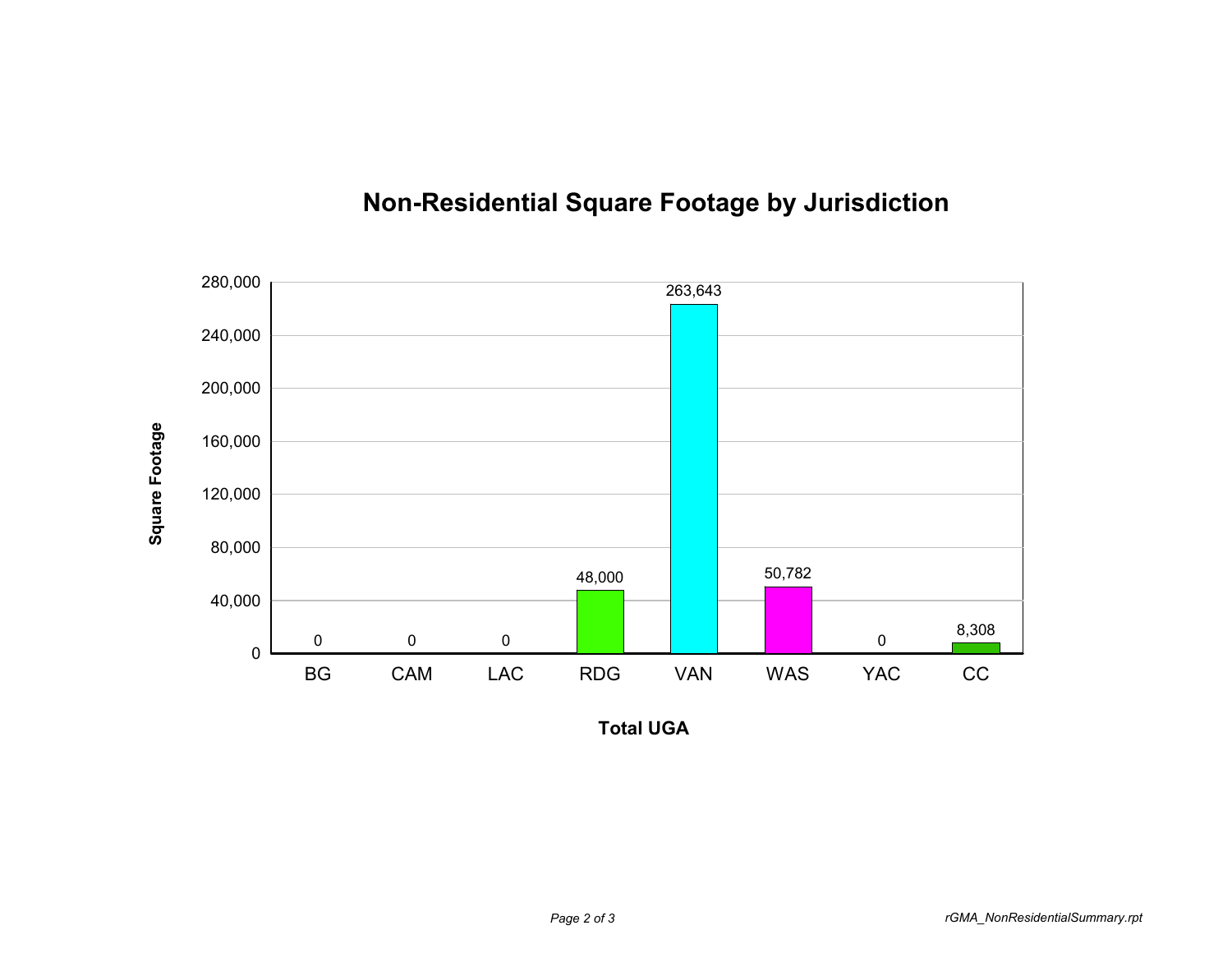

## **Non-Residential Square Footage by Jurisdiction**

**Total UGA**